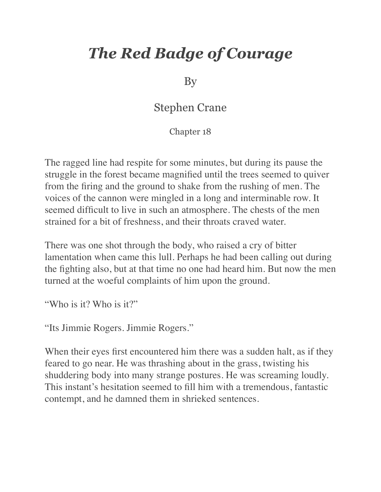## *The Red Badge of Courage*

By

## Stephen Crane

Chapter 18

The ragged line had respite for some minutes, but during its pause the struggle in the forest became magnified until the trees seemed to quiver from the firing and the ground to shake from the rushing of men. The voices of the cannon were mingled in a long and interminable row. It seemed difficult to live in such an atmosphere. The chests of the men strained for a bit of freshness, and their throats craved water.

There was one shot through the body, who raised a cry of bitter lamentation when came this lull. Perhaps he had been calling out during the fighting also, but at that time no one had heard him. But now the men turned at the woeful complaints of him upon the ground.

"Who is it? Who is it?"

"Its Jimmie Rogers. Jimmie Rogers."

When their eyes first encountered him there was a sudden halt, as if they feared to go near. He was thrashing about in the grass, twisting his shuddering body into many strange postures. He was screaming loudly. This instant's hesitation seemed to fill him with a tremendous, fantastic contempt, and he damned them in shrieked sentences.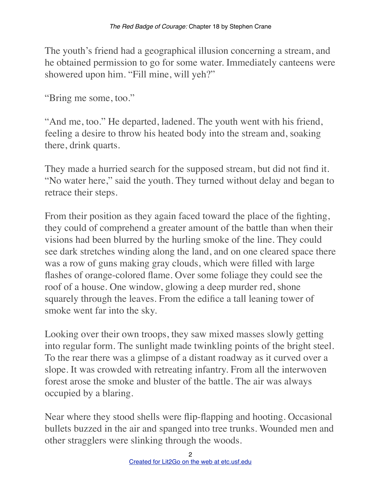The youth's friend had a geographical illusion concerning a stream, and he obtained permission to go for some water. Immediately canteens were showered upon him. "Fill mine, will yeh?"

"Bring me some, too."

"And me, too." He departed, ladened. The youth went with his friend, feeling a desire to throw his heated body into the stream and, soaking there, drink quarts.

They made a hurried search for the supposed stream, but did not find it. "No water here," said the youth. They turned without delay and began to retrace their steps.

From their position as they again faced toward the place of the fighting, they could of comprehend a greater amount of the battle than when their visions had been blurred by the hurling smoke of the line. They could see dark stretches winding along the land, and on one cleared space there was a row of guns making gray clouds, which were filled with large flashes of orange-colored flame. Over some foliage they could see the roof of a house. One window, glowing a deep murder red, shone squarely through the leaves. From the edifice a tall leaning tower of smoke went far into the sky.

Looking over their own troops, they saw mixed masses slowly getting into regular form. The sunlight made twinkling points of the bright steel. To the rear there was a glimpse of a distant roadway as it curved over a slope. It was crowded with retreating infantry. From all the interwoven forest arose the smoke and bluster of the battle. The air was always occupied by a blaring.

Near where they stood shells were flip-flapping and hooting. Occasional bullets buzzed in the air and spanged into tree trunks. Wounded men and other stragglers were slinking through the woods.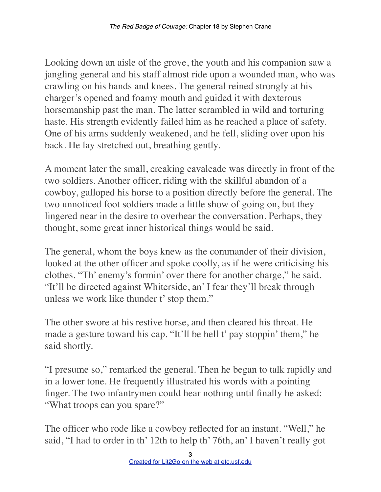Looking down an aisle of the grove, the youth and his companion saw a jangling general and his staff almost ride upon a wounded man, who was crawling on his hands and knees. The general reined strongly at his charger's opened and foamy mouth and guided it with dexterous horsemanship past the man. The latter scrambled in wild and torturing haste. His strength evidently failed him as he reached a place of safety. One of his arms suddenly weakened, and he fell, sliding over upon his back. He lay stretched out, breathing gently.

A moment later the small, creaking cavalcade was directly in front of the two soldiers. Another officer, riding with the skillful abandon of a cowboy, galloped his horse to a position directly before the general. The two unnoticed foot soldiers made a little show of going on, but they lingered near in the desire to overhear the conversation. Perhaps, they thought, some great inner historical things would be said.

The general, whom the boys knew as the commander of their division, looked at the other officer and spoke coolly, as if he were criticising his clothes. "Th' enemy's formin' over there for another charge," he said. "It'll be directed against Whiterside, an' I fear they'll break through unless we work like thunder t' stop them."

The other swore at his restive horse, and then cleared his throat. He made a gesture toward his cap. "It'll be hell t' pay stoppin' them," he said shortly.

"I presume so," remarked the general. Then he began to talk rapidly and in a lower tone. He frequently illustrated his words with a pointing finger. The two infantrymen could hear nothing until finally he asked: "What troops can you spare?"

The officer who rode like a cowboy reflected for an instant. "Well," he said, "I had to order in th' 12th to help th' 76th, an' I haven't really got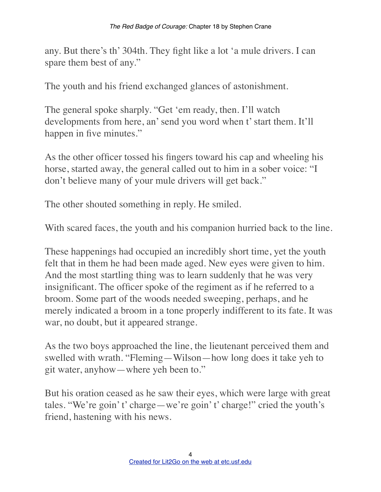any. But there's th' 304th. They fight like a lot 'a mule drivers. I can spare them best of any."

The youth and his friend exchanged glances of astonishment.

The general spoke sharply. "Get 'em ready, then. I'll watch developments from here, an' send you word when t' start them. It'll happen in five minutes."

As the other officer tossed his fingers toward his cap and wheeling his horse, started away, the general called out to him in a sober voice: "I don't believe many of your mule drivers will get back."

The other shouted something in reply. He smiled.

With scared faces, the youth and his companion hurried back to the line.

These happenings had occupied an incredibly short time, yet the youth felt that in them he had been made aged. New eyes were given to him. And the most startling thing was to learn suddenly that he was very insignificant. The officer spoke of the regiment as if he referred to a broom. Some part of the woods needed sweeping, perhaps, and he merely indicated a broom in a tone properly indifferent to its fate. It was war, no doubt, but it appeared strange.

As the two boys approached the line, the lieutenant perceived them and swelled with wrath. "Fleming—Wilson—how long does it take yeh to git water, anyhow—where yeh been to."

But his oration ceased as he saw their eyes, which were large with great tales. "We're goin' t' charge—we're goin' t' charge!" cried the youth's friend, hastening with his news.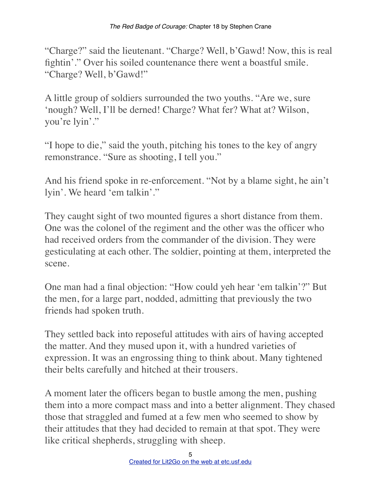"Charge?" said the lieutenant. "Charge? Well, b'Gawd! Now, this is real fightin'." Over his soiled countenance there went a boastful smile. "Charge? Well, b'Gawd!"

A little group of soldiers surrounded the two youths. "Are we, sure 'nough? Well, I'll be derned! Charge? What fer? What at? Wilson, you're lyin'."

"I hope to die," said the youth, pitching his tones to the key of angry remonstrance. "Sure as shooting, I tell you."

And his friend spoke in re-enforcement. "Not by a blame sight, he ain't lyin'. We heard 'em talkin'."

They caught sight of two mounted figures a short distance from them. One was the colonel of the regiment and the other was the officer who had received orders from the commander of the division. They were gesticulating at each other. The soldier, pointing at them, interpreted the scene.

One man had a final objection: "How could yeh hear 'em talkin'?" But the men, for a large part, nodded, admitting that previously the two friends had spoken truth.

They settled back into reposeful attitudes with airs of having accepted the matter. And they mused upon it, with a hundred varieties of expression. It was an engrossing thing to think about. Many tightened their belts carefully and hitched at their trousers.

A moment later the officers began to bustle among the men, pushing them into a more compact mass and into a better alignment. They chased those that straggled and fumed at a few men who seemed to show by their attitudes that they had decided to remain at that spot. They were like critical shepherds, struggling with sheep.